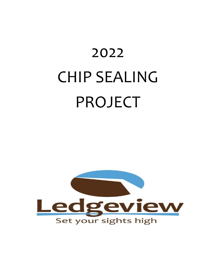# 2022 CHIP SEALING PROJECT

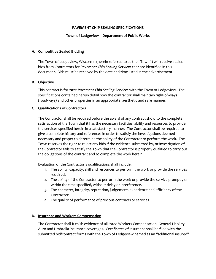#### **PAVEMENT CHIP SEALING SPECIFICATIONS**

#### **Town of Ledgeview – Department of Public Works**

## **A. Competitive Sealed Bidding**

The Town of Ledgeview, Wisconsin (herein referred to as the "Town") will receive sealed bids from Contractors for *Pavement Chip Sealing Services* that are identified in this document. Bids must be received by the date and time listed in the advertisement.

#### **B. Objective**

This contract is for **2022** *Pavement Chip Sealing Services* with the Town of Ledgeview. The specifications contained herein detail how the contractor shall maintain right-of-ways (roadways) and other properties in an appropriate, aesthetic and safe manner.

#### **C. Qualifications of Contractors**

The Contractor shall be required before the award of any contract show to the complete satisfaction of the Town that it has the necessary facilities, ability and resources to provide the services specified herein in a satisfactory manner. The Contractor shall be required to give a complete history and references in order to satisfy the investigations deemed necessary and proper to determine the ability of the Contractor to perform the work. The Town reserves the right to reject any bids if the evidence submitted by, or investigation of the Contractor fails to satisfy the Town that the Contractor is properly qualified to carry out the obligations of the contract and to complete the work herein.

Evaluation of the Contractor's qualifications shall include:

- 1. The ability, capacity, skill and resources to perform the work or provide the services required.
- 2. The ability of the Contractor to perform the work or provide the service promptly or within the time specified, without delay or interference.
- 3. The character, integrity, reputation, judgement, experience and efficiency of the Contractor.
- 4. The quality of performance of previous contracts or services.

#### **D. Insurance and Workers Compensation**

The Contractor shall furnish evidence of all listed Workers Compensation, General Liability, Auto and Umbrella insurance coverages. Certificates of insurance shall be filed with the submitted bid/contract forms with the Town of Ledgeview named as an "additional insured".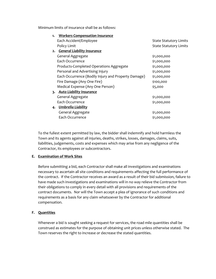Minimum limits of insurance shall be as follows:

| 1. | <b>Workers Compensation Insurance</b>               |                               |
|----|-----------------------------------------------------|-------------------------------|
|    | Each Accident/Employee                              | <b>State Statutory Limits</b> |
|    | Policy Limit                                        | <b>State Statutory Limits</b> |
|    | 2. General Liability Insurance                      |                               |
|    | General Aggregate                                   | \$1,000,000                   |
|    | Each Occurrence                                     | \$1,000,000                   |
|    | Products-Completed Operations Aggregate             | \$1,000,000                   |
|    | Personal and Advertising Injury                     | \$1,000,000                   |
|    | Each Occurrence (Bodily Injury and Property Damage) | \$1,000,000                   |
|    | Fire Damage (Any One Fire)                          | \$100,000                     |
|    | Medical Expense (Any One Person)                    | \$5,000                       |
|    | 3. Auto Liability Insurance                         |                               |
|    | General Aggregate                                   | \$1,000,000                   |
|    | Each Occurrence                                     | \$1,000,000                   |
|    | 4. Umbrella Liability                               |                               |
|    | General Aggregate                                   | \$1,000,000                   |
|    | Each Occurrence                                     | \$1,000,000                   |
|    |                                                     |                               |

To the fullest extent permitted by law, the bidder shall indemnify and hold harmless the Town and its agents against all injuries, deaths, strikes, losses, damages, claims, suits, liabilities, judgements, costs and expenses which may arise from any negligence of the Contractor, its employees or subcontractors.

# **E. Examination of Work Sites**

Before submitting a bid, each Contractor shall make all investigations and examinations necessary to ascertain all site conditions and requirements affecting the full performance of the contract. If the Contractor receives an award as a result of their bid submission, failure to have made such investigations and examinations will in no way relieve the Contractor from their obligations to comply in every detail with all provisions and requirements of the contract documents. Nor will the Town accept a plea of ignorance of such conditions and requirements as a basis for any claim whatsoever by the Contractor for additional compensation.

# **F. Quantities**

Whenever a bid is sought seeking a request for services, the road mile quantities shall be construed as estimates for the purpose of obtaining unit prices unless otherwise stated. The Town reserves the right to increase or decrease the stated quantities.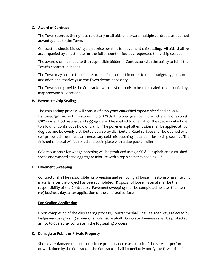#### **G. Award of Contract**

The Town reserves the right to reject any or all bids and award multiple contracts as deemed advantageous to the Town.

Contractors should bid using a unit price per foot for pavement chip sealing. All bids shall be accompanied by an estimate for the full amount of footage requested to be chip sealed.

The award shall be made to the responsible bidder or Contractor with the ability to fulfill the Town's contractual needs.

The Town may reduce the number of feet in all or part in order to meet budgetary goals or add additional roadways as the Town deems necessary.

The Town shall provide the Contractor with a list of roads to be chip sealed accompanied by a map showing all locations.

# **H. Pavement Chip Sealing**

The chip sealing process will consist of a **polymer** *emulsified asphalt blend* and a 100 % fractured 3/8 washed limestone chip or 3/8 dark colored granite chip which *shall not exceed 3/8" in size*. Both asphalt and aggregate will be applied to one half of the roadway at a time to allow for continuous flow of traffic. The polymer asphalt emulsion shall be applied at 170 degrees and be evenly distributed by a spray distributer. Road surface shall be cleaned by a self-propelled broom and any necessary cold mix patching installed prior to chip sealing. The finished chip seal will be rolled and set in place with a duo packer roller.

Cold mix asphalt for wedge patching will be produced using a SC-800 asphalt and a crushed stone and washed sand aggregate mixture with a top size not exceeding  $\frac{1}{2}$ .

#### **I. Pavement Sweeping**

Contractor shall be responsible for sweeping and removing all loose limestone or granite chip material after the project has been completed. Disposal of loose material shall be the responsibility of the Contractor. Pavement sweeping shall be completed no later than ten **(10)** business days after application of the chip seal surface.

# J. **Fog Sealing Application**

Upon completion of the chip sealing process, Contractor shall Fog Seal roadways selected by Ledgeview using a single layer of emulsified asphalt. Concrete driveways shall be protected as not to overspray concrete in the fog sealing process.

#### **K. Damage to Public or Private Property**

Should any damage to public or private property occur as a result of the services performed or work done by the Contractor, the Contractor shall immediately notify the Town of such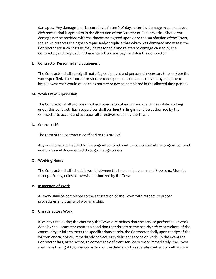damages. Any damage shall be cured within ten (10) days after the damage occurs unless a different period is agreed to in the discretion of the Director of Public Works. Should the damage not be rectified with the timeframe agreed upon or to the satisfaction of the Town, the Town reserves the right to repair and/or replace that which was damaged and assess the Contractor for such costs as may be reasonable and related to damage caused by the Contractor, and may deduct these costs from any payment due the Contractor.

#### **L. Contractor Personnel and Equipment**

The Contractor shall supply all material, equipment and personnel necessary to complete the work specified. The Contractor shall rent equipment as needed to cover any equipment breakdowns that would cause this contract to not be completed in the allotted time period.

#### **M. Work Crew Supervision**

The Contractor shall provide qualified supervision of each crew at all times while working under this contract. Each supervisor shall be fluent in English and be authorized by the Contractor to accept and act upon all directives issued by the Town.

#### **N. Contract Life**

The term of the contract is confined to this project.

Any additional work added to the original contract shall be completed at the original contract unit prices and documented through change orders.

# **O. Working Hours**

The Contractor shall schedule work between the hours of 7:00 a.m. and 8:00 p.m., Monday through Friday, unless otherwise authorized by the Town.

#### **P. Inspection of Work**

All work shall be completed to the satisfaction of the Town with respect to proper procedures and quality of workmanship.

# **Q. Unsatisfactory Work**

If, at any time during the contract, the Town determines that the service performed or work done by the Contractor creates a condition that threatens the health, safety or welfare of the community or fails to meet the specifications herein, the Contractor shall, upon receipt of the written or oral notice, immediately correct such deficient service or work. In the event the Contractor fails, after notice, to correct the deficient service or work immediately, the Town shall have the right to order correction of the deficiency by separate contract or with its own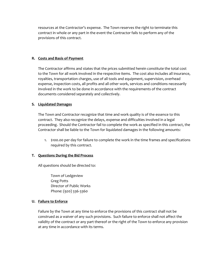resources at the Contractor's expense. The Town reserves the right to terminate this contract in whole or any part in the event the Contractor fails to perform any of the provisions of this contract.

#### **R. Costs and Basis of Payment**

The Contractor affirms and states that the prices submitted herein constitute the total cost to the Town for all work involved in the respective items. The cost also includes all insurance, royalties, transportation charges, use of all tools and equipment, supervision, overhead expense, inspection costs, all profits and all other work, services and conditions necessarily involved in the work to be done in accordance with the requirements of the contract documents considered separately and collectively.

# **S. Liquidated Damages**

The Town and Contractor recognize that time and work quality is of the essence to this contract. They also recognize the delays, expense and difficulties involved in a legal proceeding. Should the Contractor fail to complete the work as specified in this contract, the Contractor shall be liable to the Town for liquidated damages in the following amounts:

1. \$100.00 per day for failure to complete the work in the time frames and specifications required by this contract.

# **T. Questions During the Bid Process**

All questions should be directed to:

Town of Ledgeview Greg Potts Director of Public Works Phone: (920) 336-3360

#### **U. Failure to Enforce**

Failure by the Town at any time to enforce the provisions of this contract shall not be construed as a waiver of any such provisions. Such failure to enforce shall not affect the validity of the contract or any part thereof or the right of the Town to enforce any provision at any time in accordance with its terms.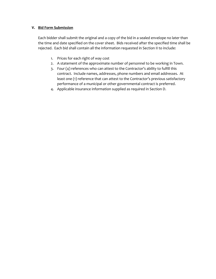# **V. Bid Form Submission**

Each bidder shall submit the original and a copy of the bid in a sealed envelope no later than the time and date specified on the cover sheet. Bids received after the specified time shall be rejected. Each bid shall contain all the information requested in Section II to include:

- 1. Prices for each right of way cost
- 2. A statement of the approximate number of personnel to be working in Town.
- 3. Four (4) references who can attest to the Contractor's ability to fulfill this contract. Include names, addresses, phone numbers and email addresses. At least one (1) reference that can attest to the Contractor's previous satisfactory performance of a municipal or other governmental contract is preferred.
- 4. Applicable insurance information supplied as required in Section D.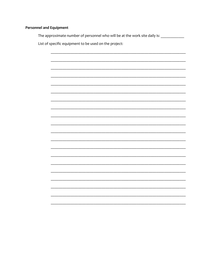# **Personnel and Equipment**

The approximate number of personnel who will be at the work site daily is: \_\_\_\_\_\_\_\_\_\_\_\_

List of specific equipment to be used on the project:

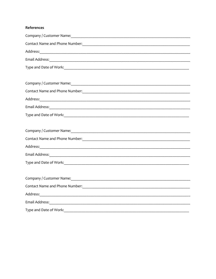# References

| Company / Customer Name: Company / Customer Name: Company / Customer Name: Company / Customer Name: Company of                                                                                                                        |
|---------------------------------------------------------------------------------------------------------------------------------------------------------------------------------------------------------------------------------------|
| Contact Name and Phone Number: Manual According to the According of the According Contact Name and Phone Number                                                                                                                       |
|                                                                                                                                                                                                                                       |
|                                                                                                                                                                                                                                       |
|                                                                                                                                                                                                                                       |
|                                                                                                                                                                                                                                       |
| Company / Customer Name: 1988                                                                                                                                                                                                         |
| Contact Name and Phone Number:<br><u> and</u> the Number of The Contact Name of Phone Number of The Contact Number of The Contact Number of The Contact Number of The Contact Number of The Contact Number of The Contact Number of T |
|                                                                                                                                                                                                                                       |
|                                                                                                                                                                                                                                       |
|                                                                                                                                                                                                                                       |
|                                                                                                                                                                                                                                       |
|                                                                                                                                                                                                                                       |
|                                                                                                                                                                                                                                       |
|                                                                                                                                                                                                                                       |
|                                                                                                                                                                                                                                       |
|                                                                                                                                                                                                                                       |
|                                                                                                                                                                                                                                       |
|                                                                                                                                                                                                                                       |
|                                                                                                                                                                                                                                       |
| Address: Address: Address: Address: Address: Address: Address: Address: Address: Address: Address: Address: Address: Address: Address: Address: Address: Address: Address: Address: Address: Address: Address: Address: Addres        |
|                                                                                                                                                                                                                                       |
|                                                                                                                                                                                                                                       |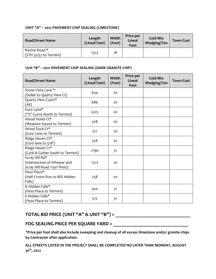# **UNIT "A" – 2021 PAVEMENT CHIP SEALING (LIMESTONE)**

| <b>Road/Street Name</b>                 | Length<br>(Lineal Feet) | Width<br>(Feet) | Price per<br><b>Lineal</b><br>Foot | <b>Cold Mix</b><br><b>Wedging/Ton</b> | <b>Town Cost</b> |
|-----------------------------------------|-------------------------|-----------------|------------------------------------|---------------------------------------|------------------|
| Ravine Road *<br>(STH 32/57 to Termini) | 1373                    | 18              |                                    |                                       |                  |

# **Unit "B" – 2021 PAVEMENT CHIP SEALING (DARK GRANITE CHIP)**

| <b>Road/Street Name</b>                                                       | Length<br>(Lineal Feet) | Width<br>(Feet) | Price per<br>Lineal<br>Foot | <b>Cold Mix</b><br><b>Wedging/Ton</b> | <b>Town Cost</b> |
|-------------------------------------------------------------------------------|-------------------------|-----------------|-----------------------------|---------------------------------------|------------------|
| Stone Vista Lane *<br>(Dollar to Quarry View Ct)                              | 634                     | 20              |                             |                                       |                  |
| Quarry View Court*<br>(All)                                                   | 686                     | 20              |                             |                                       |                  |
| Euro Lane*<br>("S" Curve North to Termini)                                    | 3225                    | 20              |                             |                                       |                  |
| Wood Violet Ct*<br>(Meadow Sound to Termini)                                  | 528                     | 20              |                             |                                       |                  |
| Wood Duck Ct*<br>(Euro Lane to Termini)                                       | 317                     | 20              |                             |                                       |                  |
| Ridge Haven Ct*<br>(Euro lane to 528')                                        | 528                     | 20              |                             |                                       |                  |
| Ridge Haven Ct*<br>(Curb & Gutter South to Termini)                           | 1790                    | 31              |                             |                                       |                  |
| Scray Hill Rd*<br>(Intersection of Whisper and<br>Scray Hill Road 1130' West) | 1272                    | 20              |                             |                                       |                  |
| Peso Place*<br>(Half Crown Run to N/S Hidden<br>Falls)                        | 758                     | 20              |                             |                                       |                  |
| N Hidden Falls*<br>(Peso Place to Termini)                                    | 420                     | 31              |                             |                                       |                  |
| S Hidden Falls*<br>(Peso Place to Termini)                                    | 572                     | 31              |                             |                                       |                  |

# **TOTAL BID PRICE (UNIT "A" & UNIT "B") = \_\_\_\_\_\_\_\_\_\_\_\_\_\_\_\_\_\_\_\_\_\_\_\_\_\_\_\_\_\_**

# **FOG SEALING PRICE PER SQUARE YARD = \_\_\_\_\_\_\_\_\_\_\_\_\_\_\_\_\_\_\_\_\_\_\_\_\_\_\_\_\_\_**

**\*Price per foot shall also include sweeping and cleanup of all excess limestone and/or granite chips by Contractor after application.**

**ALL STREETS LISTED IN THE PROJECT SHALL BE COMPLETED NO LATER THAN MONDAY, AUGUST 30th, 2022**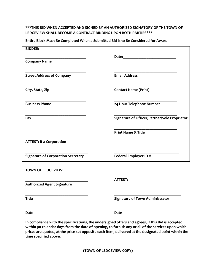# **\*\*\*THIS BID WHEN ACCEPTED AND SIGNED BY AN AUTHORIZED SIGNATORY OF THE TOWN OF LEDGEVIEW SHALL BECOME A CONTRACT BINDING UPON BOTH PARTIES\*\*\***

| Entire Block Must Be Completed When a Submitted Bid Is to Be Considered for Award |  |
|-----------------------------------------------------------------------------------|--|
|                                                                                   |  |

| <b>BIDDER:</b>                            |                                                                                                                                                                                                                                |
|-------------------------------------------|--------------------------------------------------------------------------------------------------------------------------------------------------------------------------------------------------------------------------------|
|                                           | Date: the contract of the contract of the contract of the contract of the contract of the contract of the contract of the contract of the contract of the contract of the contract of the contract of the contract of the cont |
| <b>Company Name</b>                       |                                                                                                                                                                                                                                |
| <b>Street Address of Company</b>          | <b>Email Address</b>                                                                                                                                                                                                           |
|                                           |                                                                                                                                                                                                                                |
| City, State, Zip                          | <b>Contact Name (Print)</b>                                                                                                                                                                                                    |
| <b>Business Phone</b>                     | 24 Hour Telephone Number                                                                                                                                                                                                       |
| Fax                                       | Signature of Officer/Partner/Sole Proprietor                                                                                                                                                                                   |
|                                           |                                                                                                                                                                                                                                |
|                                           | <b>Print Name &amp; Title</b>                                                                                                                                                                                                  |
| <b>ATTEST: If a Corporation</b>           |                                                                                                                                                                                                                                |
| <b>Signature of Corporation Secretary</b> | Federal Employer ID#                                                                                                                                                                                                           |
| <b>TOWN OF LEDGEVIEW:</b>                 |                                                                                                                                                                                                                                |
| <b>Authorized Agent Signature</b>         | <b>ATTEST:</b>                                                                                                                                                                                                                 |
|                                           |                                                                                                                                                                                                                                |
| <b>Title</b>                              | <b>Signature of Town Administrator</b>                                                                                                                                                                                         |
| <b>Date</b>                               | <b>Date</b>                                                                                                                                                                                                                    |

**In compliance with the specifications, the undersigned offers and agrees, if this Bid is accepted within 90 calendar days from the date of opening, to furnish any or all of the services upon which prices are quoted, at the price set opposite each item, delivered at the designated point within the time specified above.**

**(TOWN OF LEDGEVIEW COPY)**